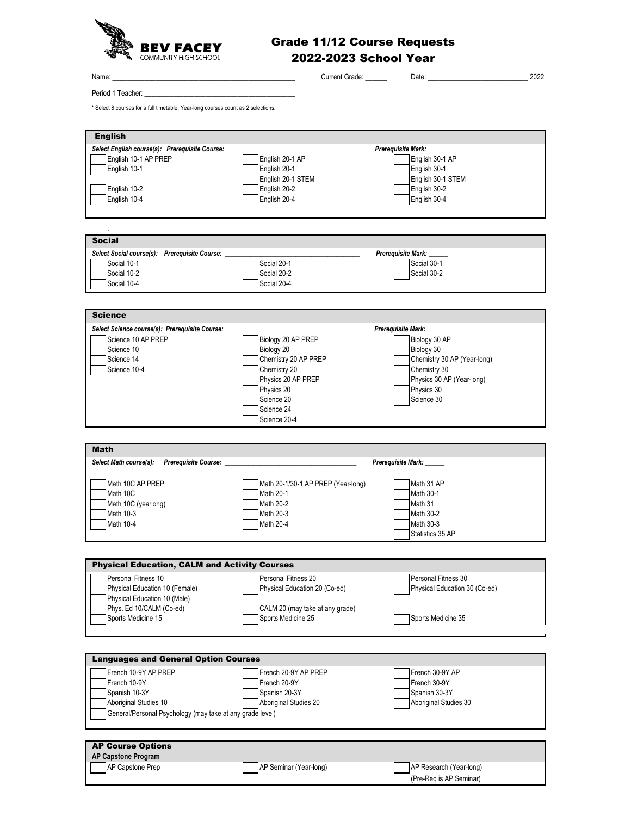

## Grade 11/12 Course Requests 2022-2023 School Year

Name: \_\_\_\_\_\_\_\_\_\_\_\_\_\_\_\_\_\_\_\_\_\_\_\_\_\_\_\_\_\_\_\_\_\_\_\_\_\_\_\_\_\_\_\_\_\_\_\_\_\_\_ Current Grade: \_\_\_\_\_\_ Date: \_\_\_\_\_\_\_\_\_\_\_\_\_\_\_\_\_\_\_\_\_\_\_\_\_\_\_\_ 2022

Period 1 Teacher:

\* Select 8 courses for a full timetable. Year-long courses count as 2 selections.

| <b>English</b>                                            |                                    |                               |  |  |  |  |  |
|-----------------------------------------------------------|------------------------------------|-------------------------------|--|--|--|--|--|
| Select English course(s): Prerequisite Course:            |                                    | Prerequisite Mark:            |  |  |  |  |  |
| English 10-1 AP PREP                                      | English 20-1 AP                    | English 30-1 AP               |  |  |  |  |  |
| English 10-1                                              | English 20-1                       | English 30-1                  |  |  |  |  |  |
|                                                           | English 20-1 STEM                  | English 30-1 STEM             |  |  |  |  |  |
| English 10-2                                              | English 20-2                       | English 30-2                  |  |  |  |  |  |
| English 10-4                                              | English 20-4                       | English 30-4                  |  |  |  |  |  |
|                                                           |                                    |                               |  |  |  |  |  |
|                                                           |                                    |                               |  |  |  |  |  |
| <b>Social</b>                                             |                                    |                               |  |  |  |  |  |
| Select Social course(s): Prerequisite Course:             |                                    | Prerequisite Mark:            |  |  |  |  |  |
| Social 10-1                                               | Social 20-1                        | Social 30-1                   |  |  |  |  |  |
| Social 10-2                                               | Social 20-2                        | Social 30-2                   |  |  |  |  |  |
| Social 10-4                                               | Social 20-4                        |                               |  |  |  |  |  |
|                                                           |                                    |                               |  |  |  |  |  |
| <b>Science</b>                                            |                                    |                               |  |  |  |  |  |
| Select Science course(s): Prerequisite Course: _          |                                    | Prerequisite Mark:            |  |  |  |  |  |
| Science 10 AP PREP                                        | Biology 20 AP PREP                 | Biology 30 AP                 |  |  |  |  |  |
| Science 10                                                | Biology 20                         | Biology 30                    |  |  |  |  |  |
| Science 14                                                | Chemistry 20 AP PREP               | Chemistry 30 AP (Year-long)   |  |  |  |  |  |
| Science 10-4                                              | Chemistry 20                       | Chemistry 30                  |  |  |  |  |  |
|                                                           | Physics 20 AP PREP                 | Physics 30 AP (Year-long)     |  |  |  |  |  |
|                                                           | Physics 20                         | Physics 30                    |  |  |  |  |  |
|                                                           | Science 20                         | Science 30                    |  |  |  |  |  |
|                                                           | Science 24                         |                               |  |  |  |  |  |
|                                                           | Science 20-4                       |                               |  |  |  |  |  |
|                                                           |                                    |                               |  |  |  |  |  |
|                                                           |                                    |                               |  |  |  |  |  |
| <b>Math</b>                                               |                                    |                               |  |  |  |  |  |
| <b>Prerequisite Course:</b><br>Select Math course(s):     |                                    | Prerequisite Mark: ______     |  |  |  |  |  |
|                                                           |                                    |                               |  |  |  |  |  |
| Math 10C AP PREP                                          | Math 20-1/30-1 AP PREP (Year-long) | Math 31 AP                    |  |  |  |  |  |
| Math 10C                                                  | Math 20-1                          | Math 30-1                     |  |  |  |  |  |
| Math 10C (yearlong)                                       | Math 20-2                          | Math 31                       |  |  |  |  |  |
| Math 10-3                                                 | Math 20-3                          | Math 30-2                     |  |  |  |  |  |
| Math 10-4                                                 | Math 20-4                          | Math 30-3                     |  |  |  |  |  |
|                                                           |                                    | Statistics 35 AP              |  |  |  |  |  |
|                                                           |                                    |                               |  |  |  |  |  |
| <b>Physical Education, CALM and Activity Courses</b>      |                                    |                               |  |  |  |  |  |
| Personal Fitness 10                                       | Personal Fitness 20                | Personal Fitness 30           |  |  |  |  |  |
| Physical Education 10 (Female)                            | Physical Education 20 (Co-ed)      | Physical Education 30 (Co-ed) |  |  |  |  |  |
| Physical Education 10 (Male)                              |                                    |                               |  |  |  |  |  |
| Phys. Ed 10/CALM (Co-ed)                                  | CALM 20 (may take at any grade)    |                               |  |  |  |  |  |
| Sports Medicine 15                                        | Sports Medicine 25                 | Sports Medicine 35            |  |  |  |  |  |
|                                                           |                                    |                               |  |  |  |  |  |
|                                                           |                                    |                               |  |  |  |  |  |
| <b>Languages and General Option Courses</b>               |                                    |                               |  |  |  |  |  |
| French 10-9Y AP PREP                                      | French 20-9Y AP PREP               | French 30-9Y AP               |  |  |  |  |  |
| French 10-9Y                                              | French 20-9Y                       | French 30-9Y                  |  |  |  |  |  |
| Spanish 10-3Y                                             | Spanish 20-3Y                      | Spanish 30-3Y                 |  |  |  |  |  |
| Aboriginal Studies 10                                     | Aboriginal Studies 20              | Aboriginal Studies 30         |  |  |  |  |  |
| General/Personal Psychology (may take at any grade level) |                                    |                               |  |  |  |  |  |
|                                                           |                                    |                               |  |  |  |  |  |
|                                                           |                                    |                               |  |  |  |  |  |
| <b>AP Course Options</b><br>AP Capstone Program           |                                    |                               |  |  |  |  |  |

(Pre-Req is AP Seminar)